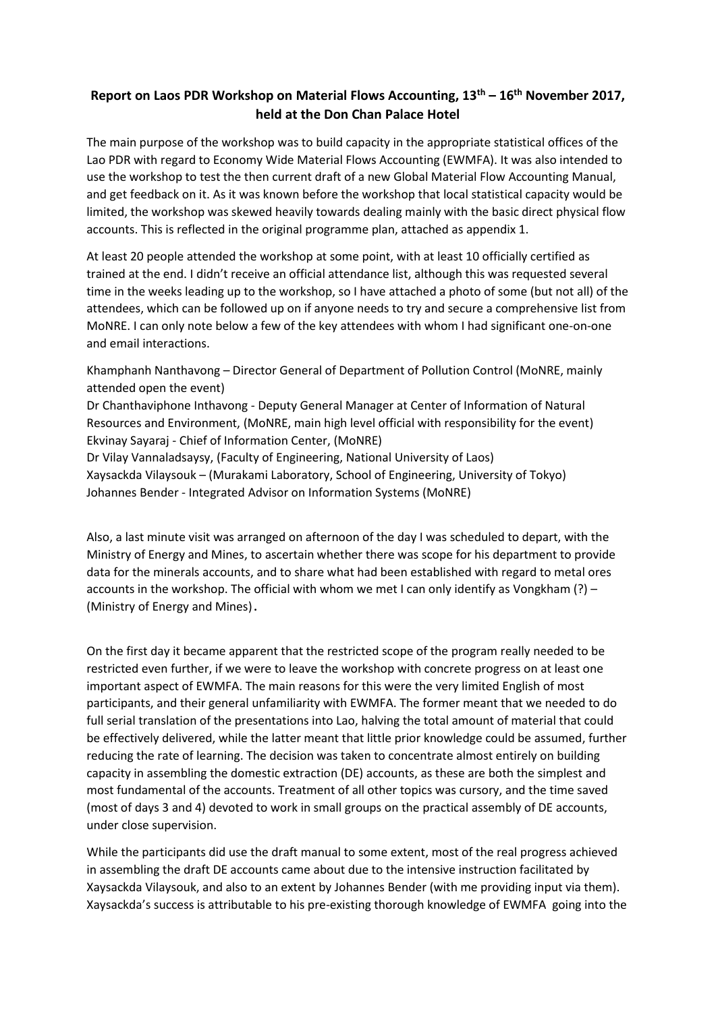# **Report on Laos PDR Workshop on Material Flows Accounting, 13th – 16th November 2017, held at the Don Chan Palace Hotel**

The main purpose of the workshop was to build capacity in the appropriate statistical offices of the Lao PDR with regard to Economy Wide Material Flows Accounting (EWMFA). It was also intended to use the workshop to test the then current draft of a new Global Material Flow Accounting Manual, and get feedback on it. As it was known before the workshop that local statistical capacity would be limited, the workshop was skewed heavily towards dealing mainly with the basic direct physical flow accounts. This is reflected in the original programme plan, attached as appendix 1.

At least 20 people attended the workshop at some point, with at least 10 officially certified as trained at the end. I didn't receive an official attendance list, although this was requested several time in the weeks leading up to the workshop, so I have attached a photo of some (but not all) of the attendees, which can be followed up on if anyone needs to try and secure a comprehensive list from MoNRE. I can only note below a few of the key attendees with whom I had significant one-on-one and email interactions.

Khamphanh Nanthavong – Director General of Department of Pollution Control (MoNRE, mainly attended open the event)

Dr Chanthaviphone Inthavong - Deputy General Manager at Center of Information of Natural Resources and Environment, (MoNRE, main high level official with responsibility for the event) Ekvinay Sayaraj - Chief of Information Center, (MoNRE)

Dr Vilay Vannaladsaysy, (Faculty of Engineering, National University of Laos) Xaysackda Vilaysouk – (Murakami Laboratory, School of Engineering, University of Tokyo) Johannes Bender - Integrated Advisor on Information Systems (MoNRE)

Also, a last minute visit was arranged on afternoon of the day I was scheduled to depart, with the Ministry of Energy and Mines, to ascertain whether there was scope for his department to provide data for the minerals accounts, and to share what had been established with regard to metal ores accounts in the workshop. The official with whom we met I can only identify as Vongkham (?) – (Ministry of Energy and Mines).

On the first day it became apparent that the restricted scope of the program really needed to be restricted even further, if we were to leave the workshop with concrete progress on at least one important aspect of EWMFA. The main reasons for this were the very limited English of most participants, and their general unfamiliarity with EWMFA. The former meant that we needed to do full serial translation of the presentations into Lao, halving the total amount of material that could be effectively delivered, while the latter meant that little prior knowledge could be assumed, further reducing the rate of learning. The decision was taken to concentrate almost entirely on building capacity in assembling the domestic extraction (DE) accounts, as these are both the simplest and most fundamental of the accounts. Treatment of all other topics was cursory, and the time saved (most of days 3 and 4) devoted to work in small groups on the practical assembly of DE accounts, under close supervision.

While the participants did use the draft manual to some extent, most of the real progress achieved in assembling the draft DE accounts came about due to the intensive instruction facilitated by Xaysackda Vilaysouk, and also to an extent by Johannes Bender (with me providing input via them). Xaysackda's success is attributable to his pre-existing thorough knowledge of EWMFA going into the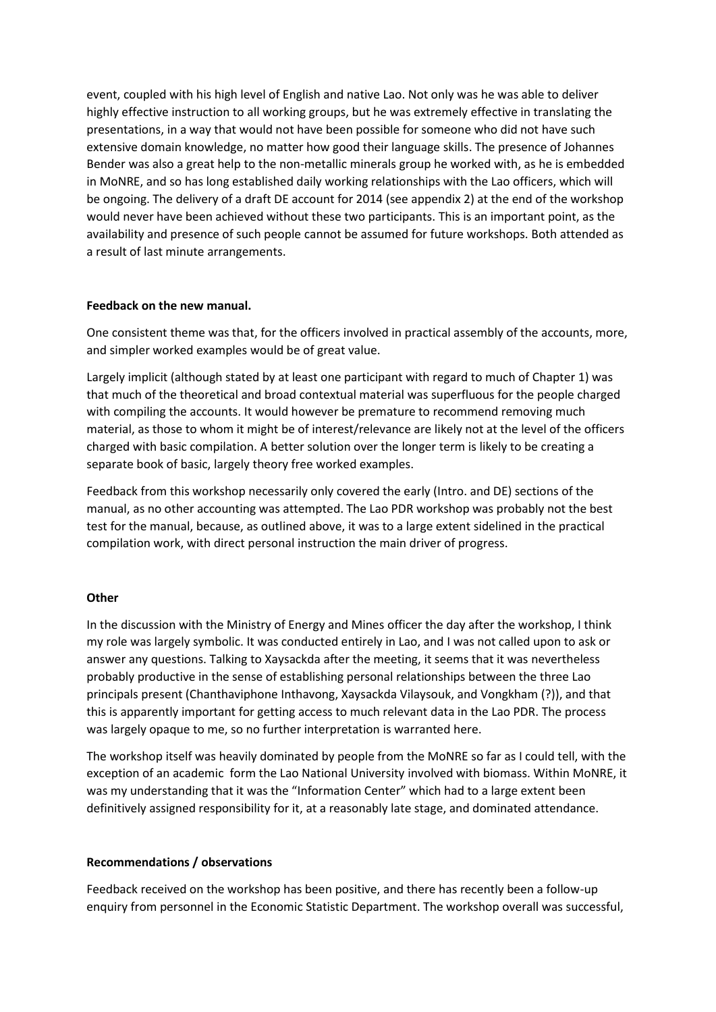event, coupled with his high level of English and native Lao. Not only was he was able to deliver highly effective instruction to all working groups, but he was extremely effective in translating the presentations, in a way that would not have been possible for someone who did not have such extensive domain knowledge, no matter how good their language skills. The presence of Johannes Bender was also a great help to the non-metallic minerals group he worked with, as he is embedded in MoNRE, and so has long established daily working relationships with the Lao officers, which will be ongoing. The delivery of a draft DE account for 2014 (see appendix 2) at the end of the workshop would never have been achieved without these two participants. This is an important point, as the availability and presence of such people cannot be assumed for future workshops. Both attended as a result of last minute arrangements.

### **Feedback on the new manual.**

One consistent theme was that, for the officers involved in practical assembly of the accounts, more, and simpler worked examples would be of great value.

Largely implicit (although stated by at least one participant with regard to much of Chapter 1) was that much of the theoretical and broad contextual material was superfluous for the people charged with compiling the accounts. It would however be premature to recommend removing much material, as those to whom it might be of interest/relevance are likely not at the level of the officers charged with basic compilation. A better solution over the longer term is likely to be creating a separate book of basic, largely theory free worked examples.

Feedback from this workshop necessarily only covered the early (Intro. and DE) sections of the manual, as no other accounting was attempted. The Lao PDR workshop was probably not the best test for the manual, because, as outlined above, it was to a large extent sidelined in the practical compilation work, with direct personal instruction the main driver of progress.

### **Other**

In the discussion with the Ministry of Energy and Mines officer the day after the workshop, I think my role was largely symbolic. It was conducted entirely in Lao, and I was not called upon to ask or answer any questions. Talking to Xaysackda after the meeting, it seems that it was nevertheless probably productive in the sense of establishing personal relationships between the three Lao principals present (Chanthaviphone Inthavong, Xaysackda Vilaysouk, and Vongkham (?)), and that this is apparently important for getting access to much relevant data in the Lao PDR. The process was largely opaque to me, so no further interpretation is warranted here.

The workshop itself was heavily dominated by people from the MoNRE so far as I could tell, with the exception of an academic form the Lao National University involved with biomass. Within MoNRE, it was my understanding that it was the "Information Center" which had to a large extent been definitively assigned responsibility for it, at a reasonably late stage, and dominated attendance.

### **Recommendations / observations**

Feedback received on the workshop has been positive, and there has recently been a follow-up enquiry from personnel in the Economic Statistic Department. The workshop overall was successful,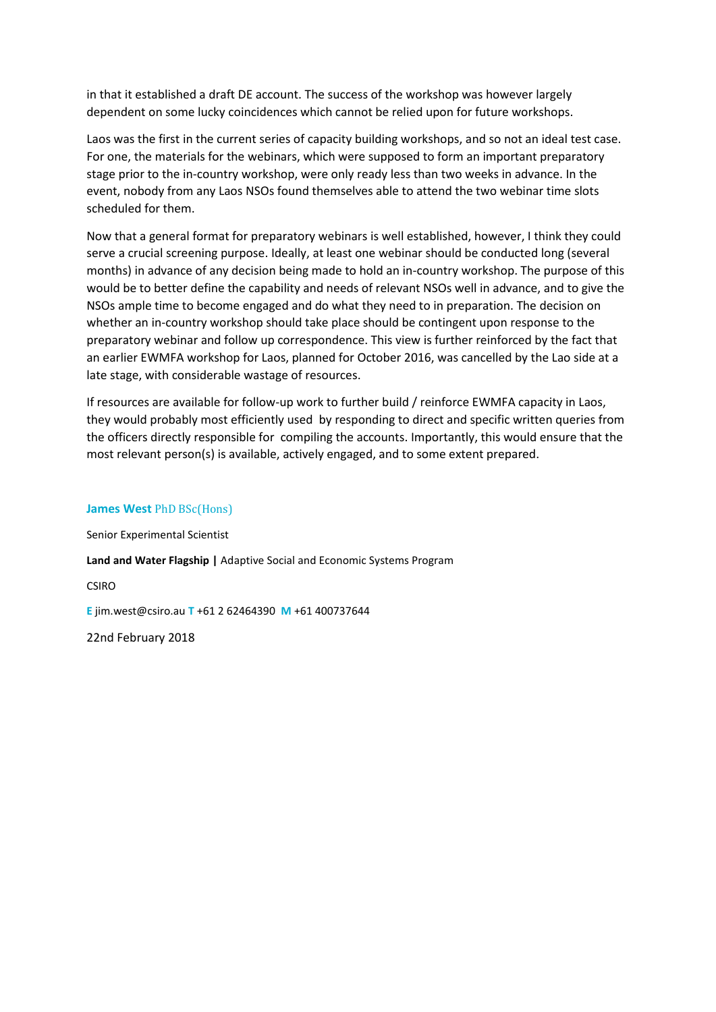in that it established a draft DE account. The success of the workshop was however largely dependent on some lucky coincidences which cannot be relied upon for future workshops.

Laos was the first in the current series of capacity building workshops, and so not an ideal test case. For one, the materials for the webinars, which were supposed to form an important preparatory stage prior to the in-country workshop, were only ready less than two weeks in advance. In the event, nobody from any Laos NSOs found themselves able to attend the two webinar time slots scheduled for them.

Now that a general format for preparatory webinars is well established, however, I think they could serve a crucial screening purpose. Ideally, at least one webinar should be conducted long (several months) in advance of any decision being made to hold an in-country workshop. The purpose of this would be to better define the capability and needs of relevant NSOs well in advance, and to give the NSOs ample time to become engaged and do what they need to in preparation. The decision on whether an in-country workshop should take place should be contingent upon response to the preparatory webinar and follow up correspondence. This view is further reinforced by the fact that an earlier EWMFA workshop for Laos, planned for October 2016, was cancelled by the Lao side at a late stage, with considerable wastage of resources.

If resources are available for follow-up work to further build / reinforce EWMFA capacity in Laos, they would probably most efficiently used by responding to direct and specific written queries from the officers directly responsible for compiling the accounts. Importantly, this would ensure that the most relevant person(s) is available, actively engaged, and to some extent prepared.

#### **James West** PhD BSc(Hons)

Senior Experimental Scientist

**Land and Water Flagship |** Adaptive Social and Economic Systems Program

CSIRO

**E** jim.west@csiro.au **T** +61 2 62464390 **M** +61 400737644

22nd February 2018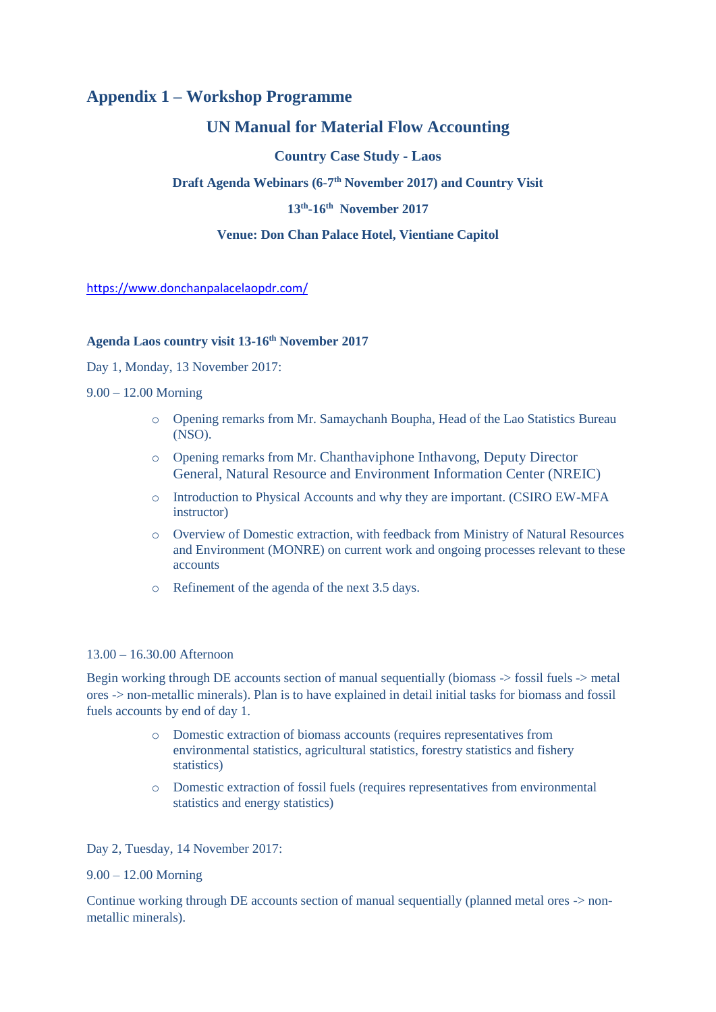# **Appendix 1 – Workshop Programme**

# **UN Manual for Material Flow Accounting**

## **Country Case Study - Laos**

**Draft Agenda Webinars (6-7 th November 2017) and Country Visit**

## **13th -16th November 2017**

## **Venue: Don Chan Palace Hotel, Vientiane Capitol**

<https://www.donchanpalacelaopdr.com/>

# **Agenda Laos country visit 13-16th November 2017**

Day 1, Monday, 13 November 2017:

#### 9.00 – 12.00 Morning

- o Opening remarks from Mr. Samaychanh Boupha, Head of the Lao Statistics Bureau (NSO).
- o Opening remarks from Mr. Chanthaviphone Inthavong, Deputy Director General, Natural Resource and Environment Information Center (NREIC)
- o Introduction to Physical Accounts and why they are important. (CSIRO EW-MFA instructor)
- o Overview of Domestic extraction, with feedback from Ministry of Natural Resources and Environment (MONRE) on current work and ongoing processes relevant to these accounts
- o Refinement of the agenda of the next 3.5 days.

### 13.00 – 16.30.00 Afternoon

Begin working through DE accounts section of manual sequentially (biomass -> fossil fuels -> metal ores -> non-metallic minerals). Plan is to have explained in detail initial tasks for biomass and fossil fuels accounts by end of day 1.

- o Domestic extraction of biomass accounts (requires representatives from environmental statistics, agricultural statistics, forestry statistics and fishery statistics)
- o Domestic extraction of fossil fuels (requires representatives from environmental statistics and energy statistics)

Day 2, Tuesday, 14 November 2017:

### 9.00 – 12.00 Morning

Continue working through DE accounts section of manual sequentially (planned metal ores -> nonmetallic minerals).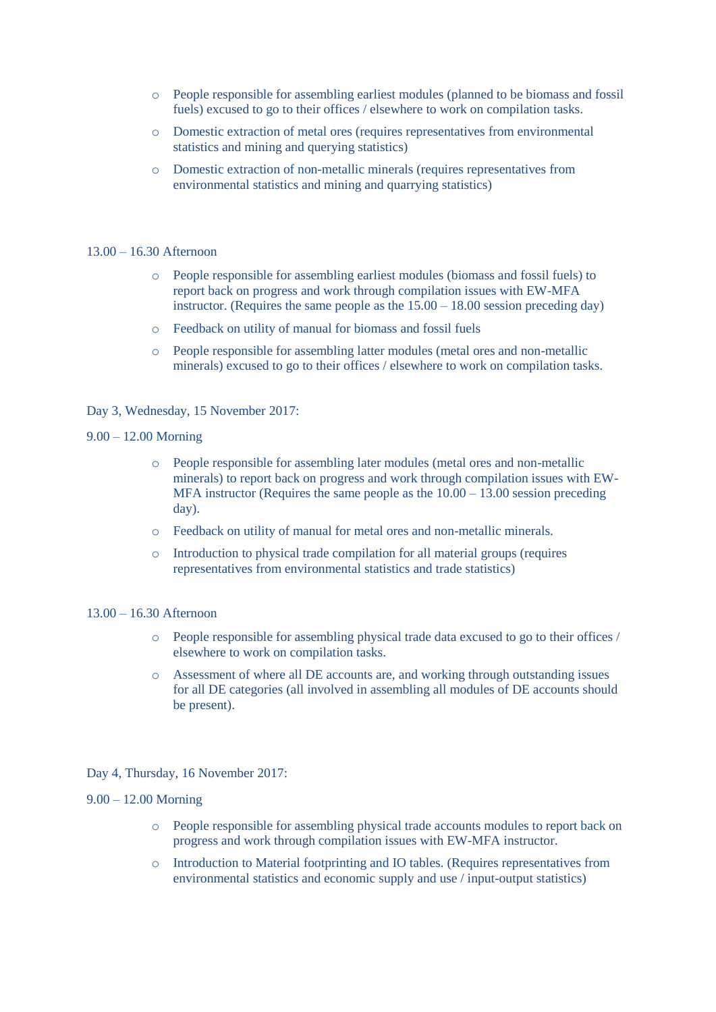- o People responsible for assembling earliest modules (planned to be biomass and fossil fuels) excused to go to their offices / elsewhere to work on compilation tasks.
- o Domestic extraction of metal ores (requires representatives from environmental statistics and mining and querying statistics)
- o Domestic extraction of non-metallic minerals (requires representatives from environmental statistics and mining and quarrying statistics)

#### 13.00 – 16.30 Afternoon

- o People responsible for assembling earliest modules (biomass and fossil fuels) to report back on progress and work through compilation issues with EW-MFA instructor. (Requires the same people as the  $15.00 - 18.00$  session preceding day)
- o Feedback on utility of manual for biomass and fossil fuels
- o People responsible for assembling latter modules (metal ores and non-metallic minerals) excused to go to their offices / elsewhere to work on compilation tasks.

#### Day 3, Wednesday, 15 November 2017:

#### 9.00 – 12.00 Morning

- o People responsible for assembling later modules (metal ores and non-metallic minerals) to report back on progress and work through compilation issues with EW-MFA instructor (Requires the same people as the  $10.00 - 13.00$  session preceding day).
- o Feedback on utility of manual for metal ores and non-metallic minerals.
- o Introduction to physical trade compilation for all material groups (requires representatives from environmental statistics and trade statistics)

#### 13.00 – 16.30 Afternoon

- o People responsible for assembling physical trade data excused to go to their offices / elsewhere to work on compilation tasks.
- o Assessment of where all DE accounts are, and working through outstanding issues for all DE categories (all involved in assembling all modules of DE accounts should be present).

### Day 4, Thursday, 16 November 2017:

#### 9.00 – 12.00 Morning

- o People responsible for assembling physical trade accounts modules to report back on progress and work through compilation issues with EW-MFA instructor.
- o Introduction to Material footprinting and IO tables. (Requires representatives from environmental statistics and economic supply and use / input-output statistics)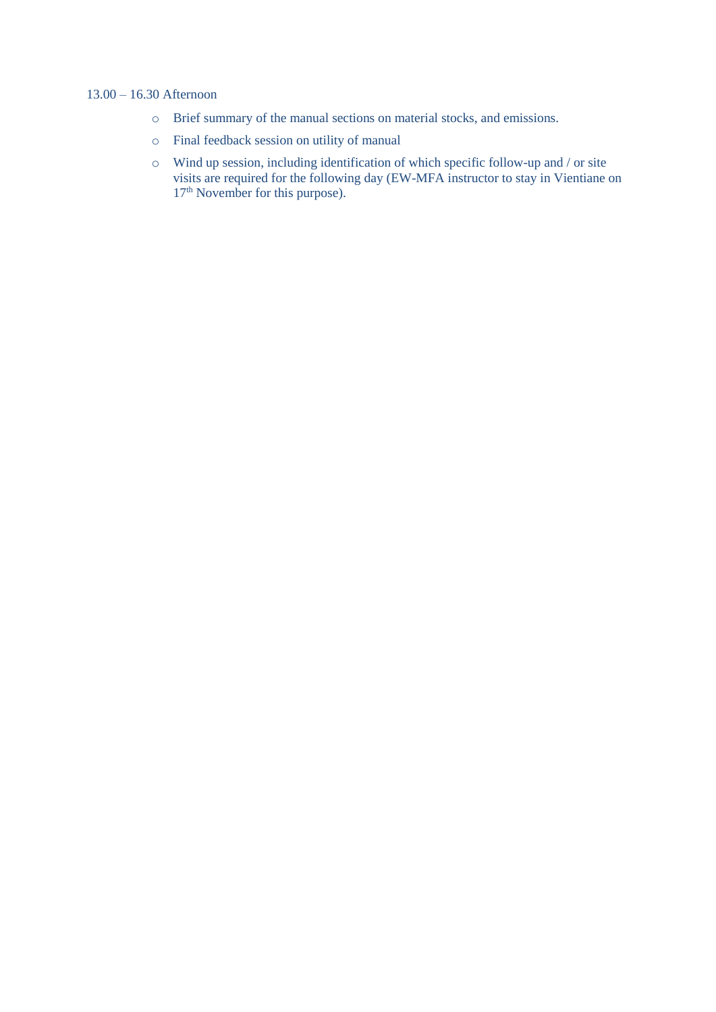## 13.00 – 16.30 Afternoon

- o Brief summary of the manual sections on material stocks, and emissions.
- o Final feedback session on utility of manual
- o Wind up session, including identification of which specific follow-up and / or site visits are required for the following day (EW-MFA instructor to stay in Vientiane on  $17<sup>th</sup>$  November for this purpose).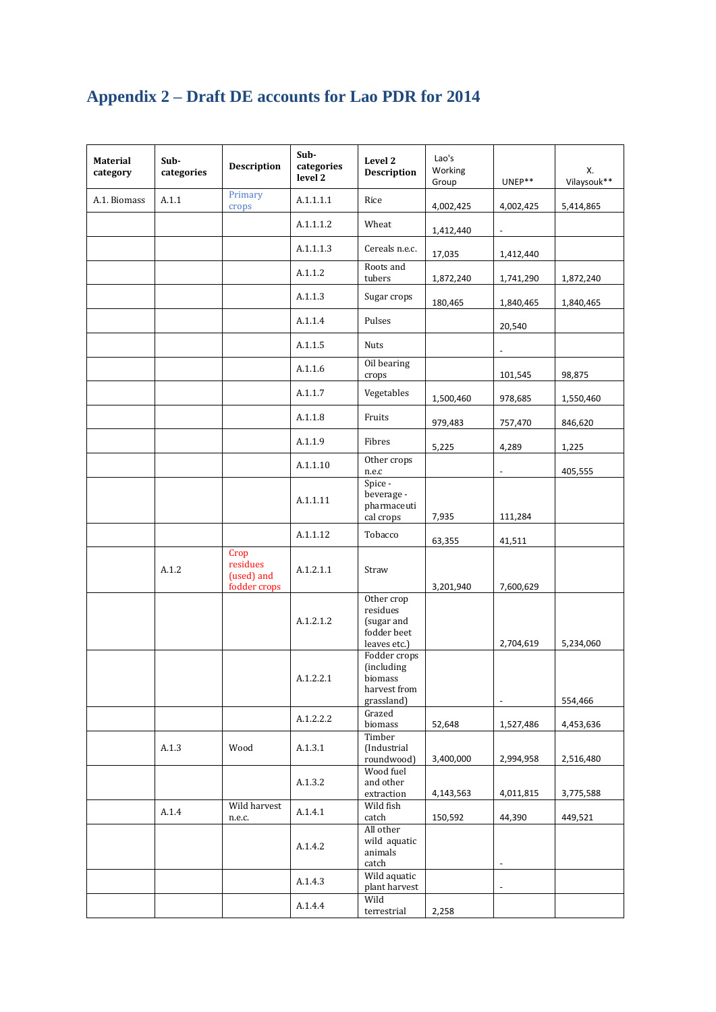# **Appendix 2 – Draft DE accounts for Lao PDR for 2014**

| Material<br>category | Sub-<br>categories | <b>Description</b>                             | Sub-<br>categories<br>level 2 | Level 2<br><b>Description</b>                                               | Lao's<br>Working<br>Group | UNEP**                   | Х.<br>Vilaysouk** |
|----------------------|--------------------|------------------------------------------------|-------------------------------|-----------------------------------------------------------------------------|---------------------------|--------------------------|-------------------|
| A.1. Biomass         | A.1.1              | Primary<br>crops                               | A.1.1.1.1                     | Rice                                                                        | 4,002,425                 | 4,002,425                | 5,414,865         |
|                      |                    |                                                | A.1.1.1.2                     | Wheat                                                                       | 1,412,440                 |                          |                   |
|                      |                    |                                                | A.1.1.1.3                     | Cereals n.e.c.                                                              | 17,035                    | 1,412,440                |                   |
|                      |                    |                                                | A.1.1.2                       | Roots and<br>tubers                                                         | 1,872,240                 | 1,741,290                | 1,872,240         |
|                      |                    |                                                | A.1.1.3                       | Sugar crops                                                                 | 180,465                   | 1,840,465                | 1,840,465         |
|                      |                    |                                                | A.1.1.4                       | Pulses                                                                      |                           | 20,540                   |                   |
|                      |                    |                                                | A.1.1.5                       | <b>Nuts</b>                                                                 |                           |                          |                   |
|                      |                    |                                                | A.1.1.6                       | Oil bearing<br>crops                                                        |                           | 101,545                  | 98,875            |
|                      |                    |                                                | A.1.1.7                       | Vegetables                                                                  | 1,500,460                 | 978,685                  | 1,550,460         |
|                      |                    |                                                | A.1.1.8                       | Fruits                                                                      | 979,483                   | 757,470                  | 846,620           |
|                      |                    |                                                | A.1.1.9                       | Fibres                                                                      | 5,225                     | 4,289                    | 1,225             |
|                      |                    |                                                | A.1.1.10                      | Other crops<br>n.e.c                                                        |                           |                          | 405,555           |
|                      |                    |                                                | A.1.1.11                      | Spice -<br>beverage -<br>pharmaceuti<br>cal crops                           | 7,935                     | 111,284                  |                   |
|                      |                    |                                                | A.1.1.12                      | Tobacco                                                                     | 63,355                    | 41,511                   |                   |
|                      | A.1.2              | Crop<br>residues<br>(used) and<br>fodder crops | A.1.2.1.1                     | Straw                                                                       | 3,201,940                 | 7,600,629                |                   |
|                      |                    |                                                | A.1.2.1.2                     | Other crop<br>residues<br>(sugar and<br>fodder beet<br>leaves etc.)         |                           | 2,704,619                | 5,234,060         |
|                      |                    |                                                | A.1.2.2.1                     | Fodder crops<br><i>(including)</i><br>biomass<br>harvest from<br>grassland) |                           | $\sim$                   | 554,466           |
|                      |                    |                                                | A.1.2.2.2                     | Grazed<br>biomass                                                           | 52,648                    | 1,527,486                | 4,453,636         |
|                      | A.1.3              | Wood                                           | A.1.3.1                       | Timber<br>(Industrial<br>roundwood)                                         | 3,400,000                 | 2,994,958                | 2,516,480         |
|                      |                    |                                                | A.1.3.2                       | Wood fuel<br>and other<br>extraction                                        | 4,143,563                 | 4,011,815                | 3,775,588         |
|                      | A.1.4              | Wild harvest<br>n.e.c.                         | A.1.4.1                       | Wild fish<br>catch                                                          | 150,592                   | 44,390                   | 449,521           |
|                      |                    |                                                | A.1.4.2                       | All other<br>wild aquatic<br>animals<br>catch                               |                           | $\overline{\phantom{a}}$ |                   |
|                      |                    |                                                | A.1.4.3                       | Wild aquatic<br>plant harvest                                               |                           | $\overline{\phantom{a}}$ |                   |
|                      |                    |                                                | A.1.4.4                       | Wild<br>terrestrial                                                         | 2,258                     |                          |                   |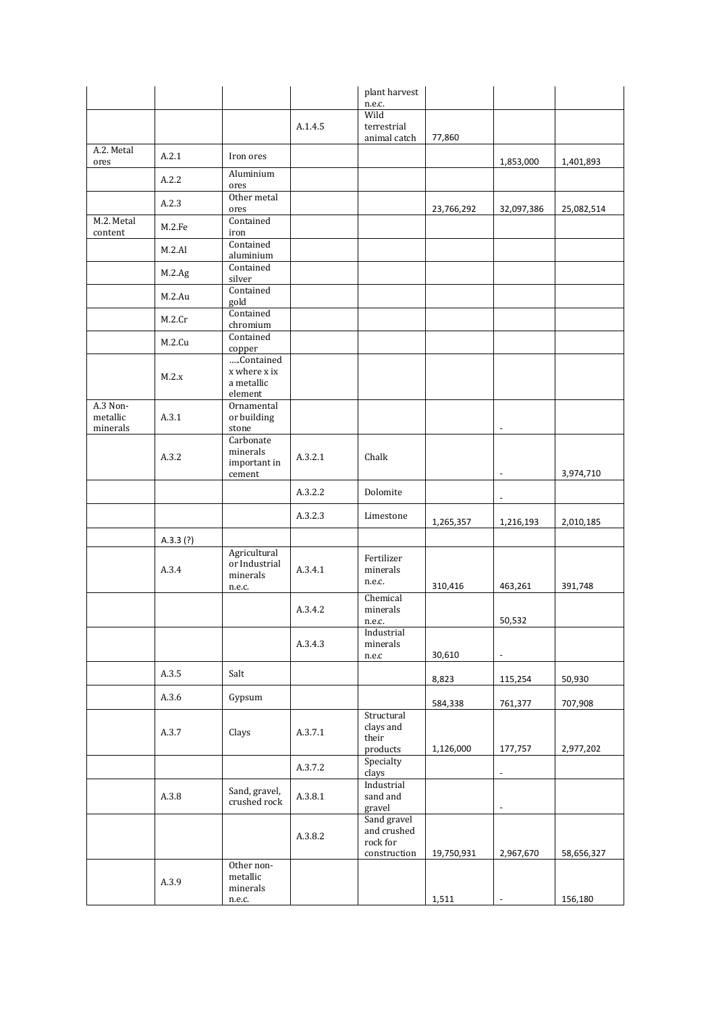|                                  |            |                                                     |         | plant harvest                                          |            |                          |            |
|----------------------------------|------------|-----------------------------------------------------|---------|--------------------------------------------------------|------------|--------------------------|------------|
|                                  |            |                                                     |         | n.e.c.<br>Wild                                         |            |                          |            |
|                                  |            |                                                     | A.1.4.5 | terrestrial                                            |            |                          |            |
|                                  |            |                                                     |         | animal catch                                           | 77,860     |                          |            |
| A.2. Metal<br>ores               | A.2.1      | Iron ores                                           |         |                                                        |            | 1,853,000                | 1,401,893  |
|                                  | A.2.2      | Aluminium<br>ores                                   |         |                                                        |            |                          |            |
|                                  | A.2.3      | Other metal<br>ores                                 |         |                                                        | 23,766,292 | 32,097,386               | 25,082,514 |
| M.2. Metal<br>content            | M.2.Fe     | Contained<br>iron                                   |         |                                                        |            |                          |            |
|                                  | M.2.A1     | Contained<br>aluminium                              |         |                                                        |            |                          |            |
|                                  | $M.2 \nAg$ | Contained<br>silver                                 |         |                                                        |            |                          |            |
|                                  | M.2.Au     | Contained<br>gold                                   |         |                                                        |            |                          |            |
|                                  | M.2.Cr     | Contained<br>chromium                               |         |                                                        |            |                          |            |
|                                  | M.2.Cu     | Contained<br>copper                                 |         |                                                        |            |                          |            |
|                                  | M.2.x      | Contained<br>x where x ix<br>a metallic<br>element  |         |                                                        |            |                          |            |
| A.3 Non-<br>metallic<br>minerals | A.3.1      | Ornamental<br>or building<br>stone                  |         |                                                        |            |                          |            |
|                                  | A.3.2      | Carbonate<br>minerals<br>important in<br>cement     | A.3.2.1 | Chalk                                                  |            |                          | 3,974,710  |
|                                  |            |                                                     | A.3.2.2 | Dolomite                                               |            | $\sim$                   |            |
|                                  |            |                                                     | A.3.2.3 | Limestone                                              | 1,265,357  | 1,216,193                | 2,010,185  |
|                                  | A.3.3(?)   |                                                     |         |                                                        |            |                          |            |
|                                  | A.3.4      | Agricultural<br>or Industrial<br>minerals<br>n.e.c. | A.3.4.1 | Fertilizer<br>minerals<br>n.e.c.                       | 310,416    | 463,261                  | 391,748    |
|                                  |            |                                                     | A.3.4.2 | Chemical<br>minerals<br>n.e.c.                         |            | 50,532                   |            |
|                                  |            |                                                     | A.3.4.3 | Industrial<br>minerals<br>n.e.c                        | 30,610     | $\overline{\phantom{a}}$ |            |
|                                  | A.3.5      | Salt                                                |         |                                                        | 8,823      | 115,254                  | 50,930     |
|                                  | A.3.6      | Gypsum                                              |         |                                                        | 584,338    | 761,377                  | 707,908    |
|                                  | A.3.7      | Clays                                               | A.3.7.1 | Structural<br>clays and<br>their<br>products           | 1,126,000  | 177,757                  | 2,977,202  |
|                                  |            |                                                     | A.3.7.2 | Specialty<br>clays                                     |            | $\overline{\phantom{a}}$ |            |
|                                  | A.3.8      | Sand, gravel,<br>crushed rock                       | A.3.8.1 | Industrial<br>sand and<br>gravel                       |            | $\overline{\phantom{a}}$ |            |
|                                  |            |                                                     | A.3.8.2 | Sand gravel<br>and crushed<br>rock for<br>construction | 19,750,931 | 2,967,670                | 58,656,327 |
|                                  | A.3.9      | Other non-<br>metallic<br>minerals<br>n.e.c.        |         |                                                        | 1,511      |                          | 156,180    |